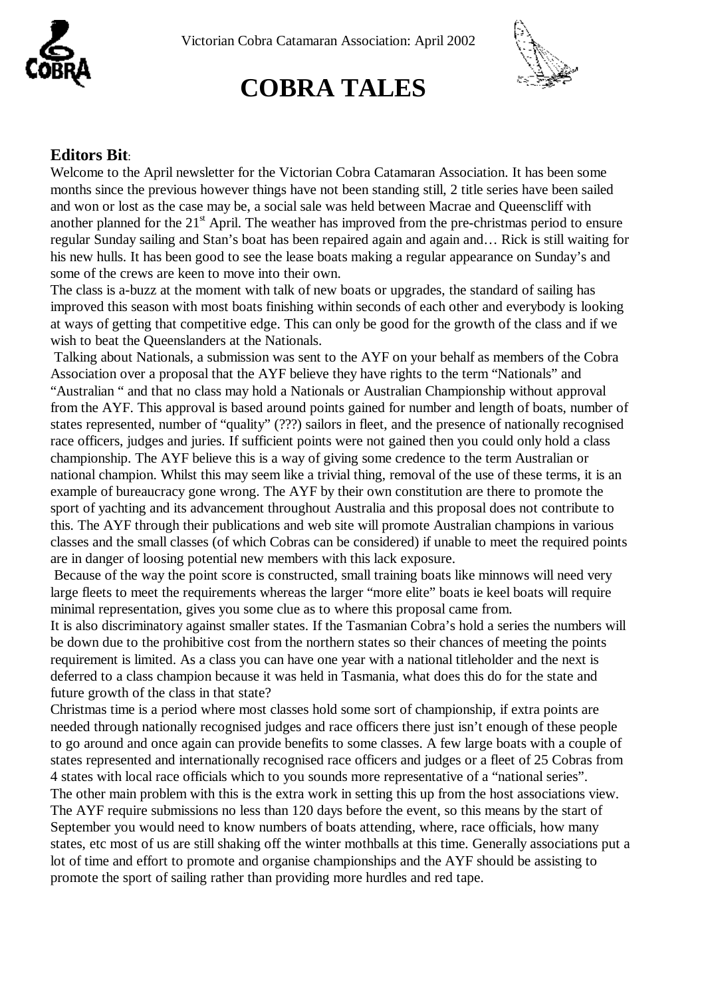

# **COBRA TALES**



#### **Editors Bit**:

Welcome to the April newsletter for the Victorian Cobra Catamaran Association. It has been some months since the previous however things have not been standing still, 2 title series have been sailed and won or lost as the case may be, a social sale was held between Macrae and Queenscliff with another planned for the  $21<sup>st</sup>$  April. The weather has improved from the pre-christmas period to ensure regular Sunday sailing and Stan's boat has been repaired again and again and… Rick is still waiting for his new hulls. It has been good to see the lease boats making a regular appearance on Sunday's and some of the crews are keen to move into their own.

The class is a-buzz at the moment with talk of new boats or upgrades, the standard of sailing has improved this season with most boats finishing within seconds of each other and everybody is looking at ways of getting that competitive edge. This can only be good for the growth of the class and if we wish to beat the Queenslanders at the Nationals.

 Talking about Nationals, a submission was sent to the AYF on your behalf as members of the Cobra Association over a proposal that the AYF believe they have rights to the term "Nationals" and "Australian " and that no class may hold a Nationals or Australian Championship without approval from the AYF. This approval is based around points gained for number and length of boats, number of states represented, number of "quality" (???) sailors in fleet, and the presence of nationally recognised race officers, judges and juries. If sufficient points were not gained then you could only hold a class championship. The AYF believe this is a way of giving some credence to the term Australian or national champion. Whilst this may seem like a trivial thing, removal of the use of these terms, it is an example of bureaucracy gone wrong. The AYF by their own constitution are there to promote the sport of yachting and its advancement throughout Australia and this proposal does not contribute to this. The AYF through their publications and web site will promote Australian champions in various classes and the small classes (of which Cobras can be considered) if unable to meet the required points are in danger of loosing potential new members with this lack exposure.

Because of the way the point score is constructed, small training boats like minnows will need very large fleets to meet the requirements whereas the larger "more elite" boats ie keel boats will require minimal representation, gives you some clue as to where this proposal came from.

It is also discriminatory against smaller states. If the Tasmanian Cobra's hold a series the numbers will be down due to the prohibitive cost from the northern states so their chances of meeting the points requirement is limited. As a class you can have one year with a national titleholder and the next is deferred to a class champion because it was held in Tasmania, what does this do for the state and future growth of the class in that state?

Christmas time is a period where most classes hold some sort of championship, if extra points are needed through nationally recognised judges and race officers there just isn't enough of these people to go around and once again can provide benefits to some classes. A few large boats with a couple of states represented and internationally recognised race officers and judges or a fleet of 25 Cobras from 4 states with local race officials which to you sounds more representative of a "national series". The other main problem with this is the extra work in setting this up from the host associations view. The AYF require submissions no less than 120 days before the event, so this means by the start of September you would need to know numbers of boats attending, where, race officials, how many states, etc most of us are still shaking off the winter mothballs at this time. Generally associations put a lot of time and effort to promote and organise championships and the AYF should be assisting to promote the sport of sailing rather than providing more hurdles and red tape.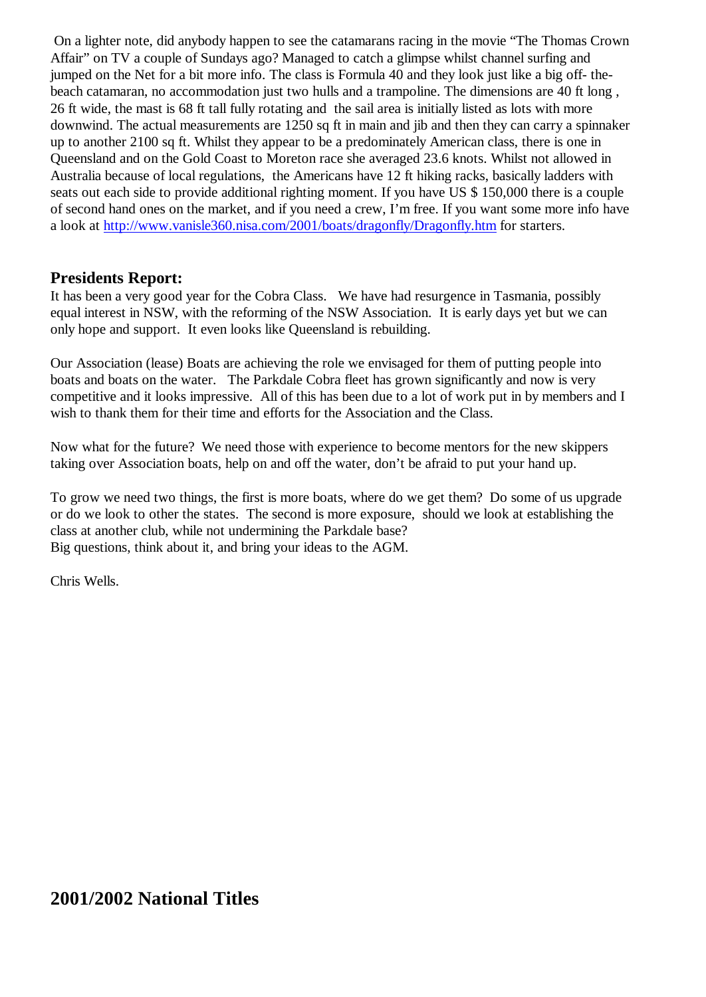On a lighter note, did anybody happen to see the catamarans racing in the movie "The Thomas Crown Affair" on TV a couple of Sundays ago? Managed to catch a glimpse whilst channel surfing and jumped on the Net for a bit more info. The class is Formula 40 and they look just like a big off- thebeach catamaran, no accommodation just two hulls and a trampoline. The dimensions are 40 ft long , 26 ft wide, the mast is 68 ft tall fully rotating and the sail area is initially listed as lots with more downwind. The actual measurements are 1250 sq ft in main and jib and then they can carry a spinnaker up to another 2100 sq ft. Whilst they appear to be a predominately American class, there is one in Queensland and on the Gold Coast to Moreton race she averaged 23.6 knots. Whilst not allowed in Australia because of local regulations, the Americans have 12 ft hiking racks, basically ladders with seats out each side to provide additional righting moment. If you have US \$ 150,000 there is a couple of second hand ones on the market, and if you need a crew, I'm free. If you want some more info have a look at<http://www.vanisle360.nisa.com/2001/boats/dragonfly/Dragonfly.htm> for starters.

#### **Presidents Report:**

It has been a very good year for the Cobra Class. We have had resurgence in Tasmania, possibly equal interest in NSW, with the reforming of the NSW Association. It is early days yet but we can only hope and support. It even looks like Queensland is rebuilding.

Our Association (lease) Boats are achieving the role we envisaged for them of putting people into boats and boats on the water. The Parkdale Cobra fleet has grown significantly and now is very competitive and it looks impressive. All of this has been due to a lot of work put in by members and I wish to thank them for their time and efforts for the Association and the Class.

Now what for the future? We need those with experience to become mentors for the new skippers taking over Association boats, help on and off the water, don't be afraid to put your hand up.

To grow we need two things, the first is more boats, where do we get them? Do some of us upgrade or do we look to other the states. The second is more exposure, should we look at establishing the class at another club, while not undermining the Parkdale base? Big questions, think about it, and bring your ideas to the AGM.

Chris Wells.

### **2001/2002 National Titles**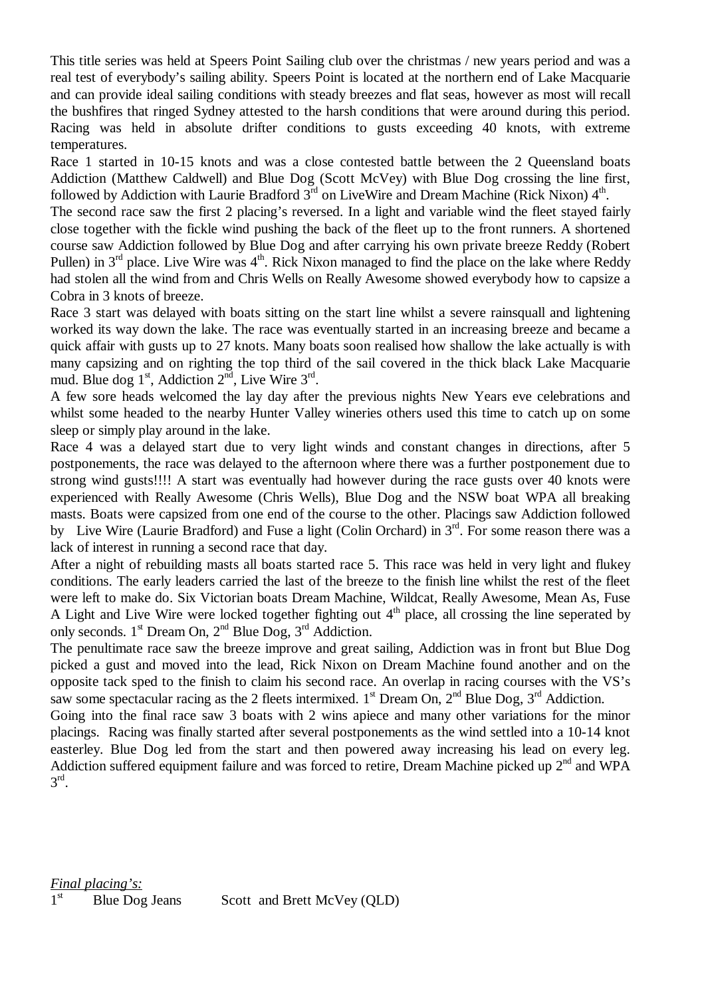This title series was held at Speers Point Sailing club over the christmas / new years period and was a real test of everybody's sailing ability. Speers Point is located at the northern end of Lake Macquarie and can provide ideal sailing conditions with steady breezes and flat seas, however as most will recall the bushfires that ringed Sydney attested to the harsh conditions that were around during this period. Racing was held in absolute drifter conditions to gusts exceeding 40 knots, with extreme temperatures.

Race 1 started in 10-15 knots and was a close contested battle between the 2 Queensland boats Addiction (Matthew Caldwell) and Blue Dog (Scott McVey) with Blue Dog crossing the line first, followed by Addiction with Laurie Bradford  $3<sup>rd</sup>$  on LiveWire and Dream Machine (Rick Nixon)  $4<sup>th</sup>$ .

The second race saw the first 2 placing's reversed. In a light and variable wind the fleet stayed fairly close together with the fickle wind pushing the back of the fleet up to the front runners. A shortened course saw Addiction followed by Blue Dog and after carrying his own private breeze Reddy (Robert Pullen) in  $3<sup>rd</sup>$  place. Live Wire was  $4<sup>th</sup>$ . Rick Nixon managed to find the place on the lake where Reddy had stolen all the wind from and Chris Wells on Really Awesome showed everybody how to capsize a Cobra in 3 knots of breeze.

Race 3 start was delayed with boats sitting on the start line whilst a severe rainsquall and lightening worked its way down the lake. The race was eventually started in an increasing breeze and became a quick affair with gusts up to 27 knots. Many boats soon realised how shallow the lake actually is with many capsizing and on righting the top third of the sail covered in the thick black Lake Macquarie mud. Blue dog  $1<sup>st</sup>$ , Addiction  $2<sup>nd</sup>$ , Live Wire  $3<sup>rd</sup>$ .

A few sore heads welcomed the lay day after the previous nights New Years eve celebrations and whilst some headed to the nearby Hunter Valley wineries others used this time to catch up on some sleep or simply play around in the lake.

Race 4 was a delayed start due to very light winds and constant changes in directions, after 5 postponements, the race was delayed to the afternoon where there was a further postponement due to strong wind gusts!!!! A start was eventually had however during the race gusts over 40 knots were experienced with Really Awesome (Chris Wells), Blue Dog and the NSW boat WPA all breaking masts. Boats were capsized from one end of the course to the other. Placings saw Addiction followed by Live Wire (Laurie Bradford) and Fuse a light (Colin Orchard) in  $3<sup>rd</sup>$ . For some reason there was a lack of interest in running a second race that day.

After a night of rebuilding masts all boats started race 5. This race was held in very light and flukey conditions. The early leaders carried the last of the breeze to the finish line whilst the rest of the fleet were left to make do. Six Victorian boats Dream Machine, Wildcat, Really Awesome, Mean As, Fuse A Light and Live Wire were locked together fighting out  $4<sup>th</sup>$  place, all crossing the line seperated by only seconds. 1st Dream On, 2nd Blue Dog, 3rd Addiction.

The penultimate race saw the breeze improve and great sailing, Addiction was in front but Blue Dog picked a gust and moved into the lead, Rick Nixon on Dream Machine found another and on the opposite tack sped to the finish to claim his second race. An overlap in racing courses with the VS's saw some spectacular racing as the 2 fleets intermixed. 1<sup>st</sup> Dream On,  $2<sup>nd</sup>$  Blue Dog,  $3<sup>rd</sup>$  Addiction.

Going into the final race saw 3 boats with 2 wins apiece and many other variations for the minor placings. Racing was finally started after several postponements as the wind settled into a 10-14 knot easterley. Blue Dog led from the start and then powered away increasing his lead on every leg. Addiction suffered equipment failure and was forced to retire, Dream Machine picked up  $2<sup>nd</sup>$  and WPA  $3^{\text{rd}}$ .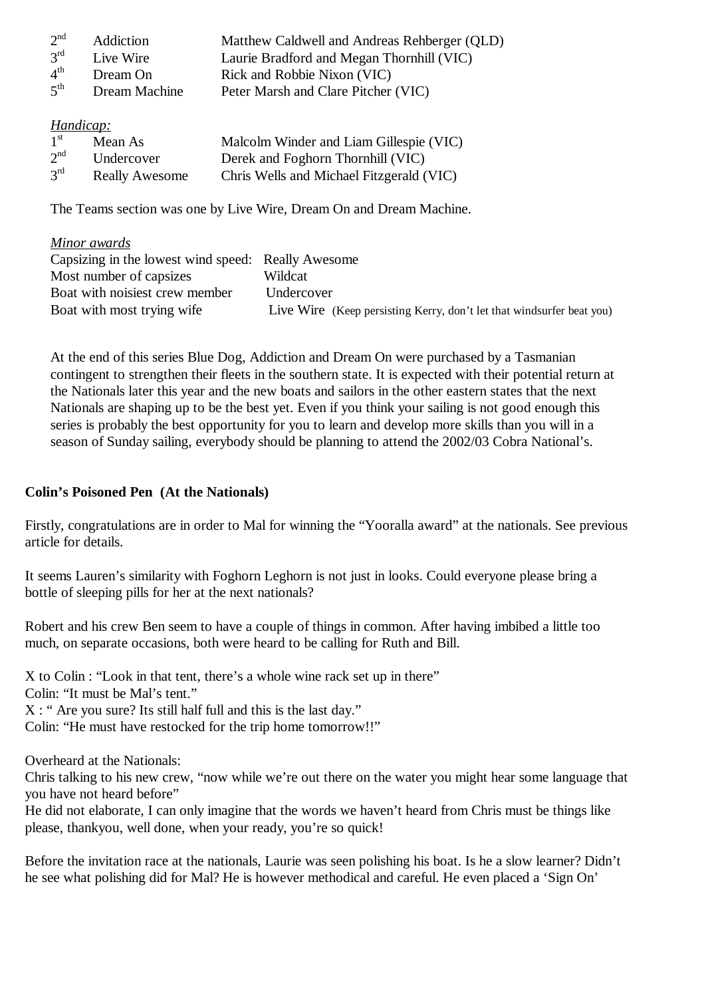| 2 <sup>nd</sup> | Addiction     | Matthew Caldwell and Andreas Rehberger (QLD) |
|-----------------|---------------|----------------------------------------------|
| $3^{\text{rd}}$ | Live Wire     | Laurie Bradford and Megan Thornhill (VIC)    |
| $4^{\text{th}}$ | Dream On      | Rick and Robbie Nixon (VIC)                  |
| $5^{\text{th}}$ | Dream Machine | Peter Marsh and Clare Pitcher (VIC)          |

*Handicap:*

| 1 <sup>st</sup> | Mean As               | Malcolm Winder and Liam Gillespie (VIC)  |
|-----------------|-----------------------|------------------------------------------|
| 2 <sup>nd</sup> | Undercover            | Derek and Foghorn Thornhill (VIC)        |
| 3 <sup>rd</sup> | <b>Really Awesome</b> | Chris Wells and Michael Fitzgerald (VIC) |

The Teams section was one by Live Wire, Dream On and Dream Machine.

#### *Minor awards*

| Capsizing in the lowest wind speed: Really Awesome |                                                                       |
|----------------------------------------------------|-----------------------------------------------------------------------|
| Most number of capsizes                            | Wildcat                                                               |
| Boat with noisiest crew member                     | Undercover                                                            |
| Boat with most trying wife                         | Live Wire (Keep persisting Kerry, don't let that windsurfer beat you) |

At the end of this series Blue Dog, Addiction and Dream On were purchased by a Tasmanian contingent to strengthen their fleets in the southern state. It is expected with their potential return at the Nationals later this year and the new boats and sailors in the other eastern states that the next Nationals are shaping up to be the best yet. Even if you think your sailing is not good enough this series is probably the best opportunity for you to learn and develop more skills than you will in a season of Sunday sailing, everybody should be planning to attend the 2002/03 Cobra National's.

#### **Colin's Poisoned Pen (At the Nationals)**

Firstly, congratulations are in order to Mal for winning the "Yooralla award" at the nationals. See previous article for details.

It seems Lauren's similarity with Foghorn Leghorn is not just in looks. Could everyone please bring a bottle of sleeping pills for her at the next nationals?

Robert and his crew Ben seem to have a couple of things in common. After having imbibed a little too much, on separate occasions, both were heard to be calling for Ruth and Bill.

X to Colin : "Look in that tent, there's a whole wine rack set up in there" Colin: "It must be Mal's tent." X : " Are you sure? Its still half full and this is the last day." Colin: "He must have restocked for the trip home tomorrow!!"

Overheard at the Nationals:

Chris talking to his new crew, "now while we're out there on the water you might hear some language that you have not heard before"

He did not elaborate, I can only imagine that the words we haven't heard from Chris must be things like please, thankyou, well done, when your ready, you're so quick!

Before the invitation race at the nationals, Laurie was seen polishing his boat. Is he a slow learner? Didn't he see what polishing did for Mal? He is however methodical and careful. He even placed a 'Sign On'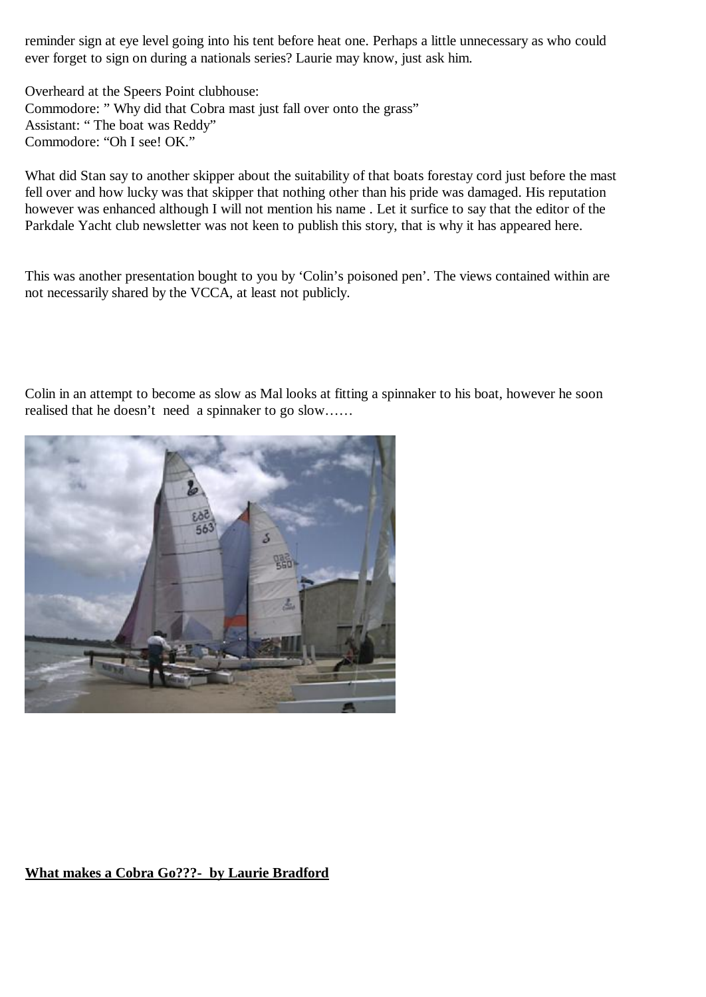reminder sign at eye level going into his tent before heat one. Perhaps a little unnecessary as who could ever forget to sign on during a nationals series? Laurie may know, just ask him.

Overheard at the Speers Point clubhouse: Commodore: " Why did that Cobra mast just fall over onto the grass" Assistant: " The boat was Reddy" Commodore: "Oh I see! OK."

What did Stan say to another skipper about the suitability of that boats forestay cord just before the mast fell over and how lucky was that skipper that nothing other than his pride was damaged. His reputation however was enhanced although I will not mention his name . Let it surfice to say that the editor of the Parkdale Yacht club newsletter was not keen to publish this story, that is why it has appeared here.

This was another presentation bought to you by 'Colin's poisoned pen'. The views contained within are not necessarily shared by the VCCA, at least not publicly.

Colin in an attempt to become as slow as Mal looks at fitting a spinnaker to his boat, however he soon realised that he doesn't need a spinnaker to go slow……



#### **What makes a Cobra Go???- by Laurie Bradford**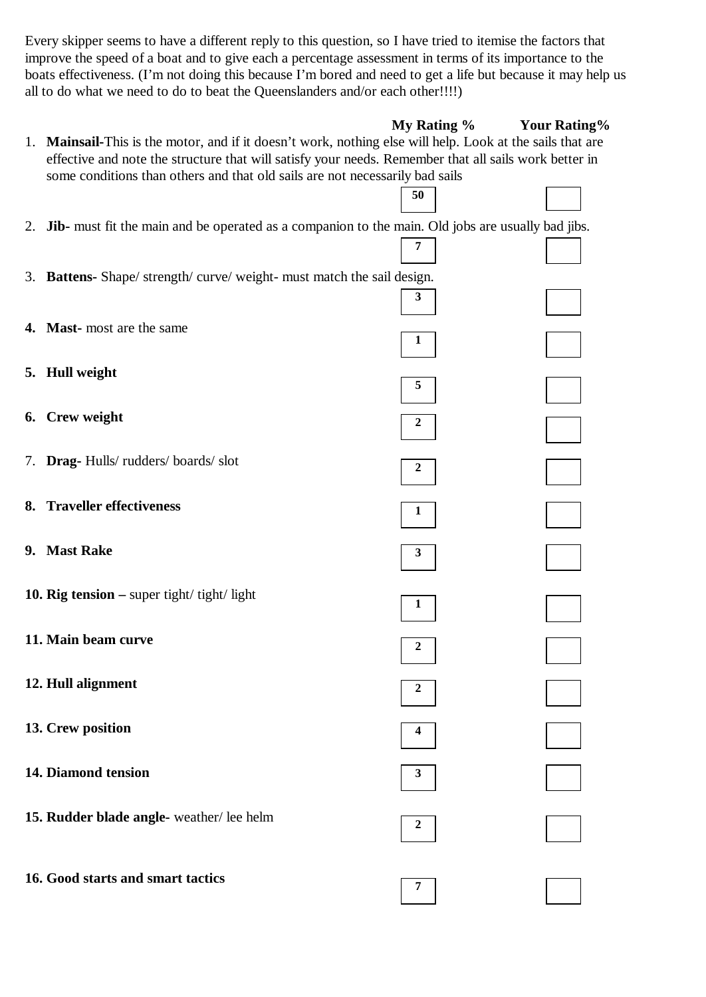Every skipper seems to have a different reply to this question, so I have tried to itemise the factors that improve the speed of a boat and to give each a percentage assessment in terms of its importance to the boats effectiveness. (I'm not doing this because I'm bored and need to get a life but because it may help us all to do what we need to do to beat the Queenslanders and/or each other!!!!)

|                                                                                                                                                                                                                    | My Rating % | <b>Your Rating%</b> |
|--------------------------------------------------------------------------------------------------------------------------------------------------------------------------------------------------------------------|-------------|---------------------|
| 1. Mainsail-This is the motor, and if it doesn't work, nothing else will help. Look at the sails that are<br>effective and note the structure that will satisfy your needs. Remember that all sails work better in |             |                     |
| some conditions than others and that old sails are not necessarily bad sails                                                                                                                                       | 50          |                     |
|                                                                                                                                                                                                                    |             |                     |
| 2. Jib- must fit the main and be operated as a companion to the main. Old jobs are usually bad jibs.                                                                                                               | 7           |                     |
| 3. Battens- Shape/ strength/ curve/ weight- must match the sail design.                                                                                                                                            |             |                     |
|                                                                                                                                                                                                                    | 3           |                     |
| 4. Mast-most are the same                                                                                                                                                                                          | 1           |                     |
|                                                                                                                                                                                                                    |             |                     |
| 5. Hull weight                                                                                                                                                                                                     | 5           |                     |
| 6. Crew weight                                                                                                                                                                                                     | 2           |                     |
|                                                                                                                                                                                                                    |             |                     |
| 7. Drag-Hulls/rudders/boards/slot                                                                                                                                                                                  | 2           |                     |
| 8. Traveller effectiveness                                                                                                                                                                                         | 1           |                     |
|                                                                                                                                                                                                                    |             |                     |
| 9. Mast Rake                                                                                                                                                                                                       | 3           |                     |
| 10. Rig tension $-$ super tight/ tight/ light                                                                                                                                                                      | 1           |                     |
|                                                                                                                                                                                                                    |             |                     |
| 11. Main beam curve                                                                                                                                                                                                | 2           |                     |
| 12. Hull alignment                                                                                                                                                                                                 | 2           |                     |
|                                                                                                                                                                                                                    |             |                     |
| 13. Crew position                                                                                                                                                                                                  | 4           |                     |
| 14. Diamond tension                                                                                                                                                                                                | 3           |                     |
|                                                                                                                                                                                                                    |             |                     |
| 15. Rudder blade angle- weather/lee helm                                                                                                                                                                           | 2           |                     |
|                                                                                                                                                                                                                    |             |                     |
| 16. Good starts and smart tactics                                                                                                                                                                                  | 7           |                     |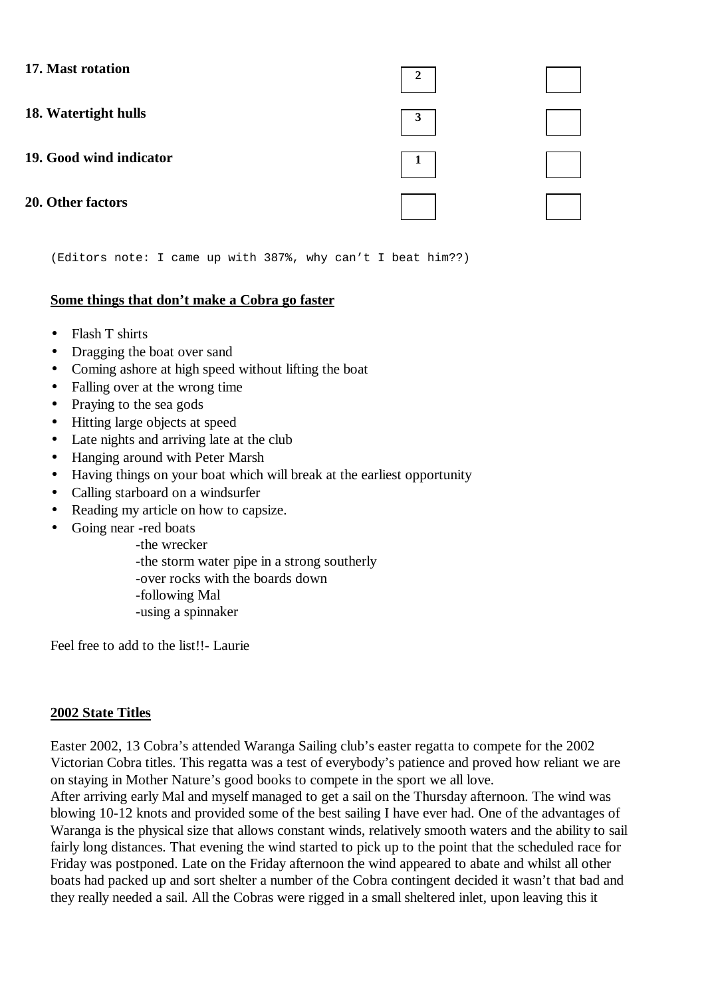| 17. Mast rotation       |   |  |
|-------------------------|---|--|
| 18. Watertight hulls    | 3 |  |
| 19. Good wind indicator |   |  |
| 20. Other factors       |   |  |

(Editors note: I came up with 387%, why can't I beat him??)

#### **Some things that don't make a Cobra go faster**

- Flash T shirts
- Dragging the boat over sand
- Coming ashore at high speed without lifting the boat
- Falling over at the wrong time
- Praying to the sea gods
- Hitting large objects at speed
- Late nights and arriving late at the club
- Hanging around with Peter Marsh
- Having things on your boat which will break at the earliest opportunity
- Calling starboard on a windsurfer
- Reading my article on how to capsize.
- Going near -red boats
	- -the wrecker
	- -the storm water pipe in a strong southerly
	- -over rocks with the boards down
	- -following Mal
	- -using a spinnaker

Feel free to add to the list!!- Laurie

#### **2002 State Titles**

Easter 2002, 13 Cobra's attended Waranga Sailing club's easter regatta to compete for the 2002 Victorian Cobra titles. This regatta was a test of everybody's patience and proved how reliant we are on staying in Mother Nature's good books to compete in the sport we all love.

After arriving early Mal and myself managed to get a sail on the Thursday afternoon. The wind was blowing 10-12 knots and provided some of the best sailing I have ever had. One of the advantages of Waranga is the physical size that allows constant winds, relatively smooth waters and the ability to sail fairly long distances. That evening the wind started to pick up to the point that the scheduled race for Friday was postponed. Late on the Friday afternoon the wind appeared to abate and whilst all other boats had packed up and sort shelter a number of the Cobra contingent decided it wasn't that bad and they really needed a sail. All the Cobras were rigged in a small sheltered inlet, upon leaving this it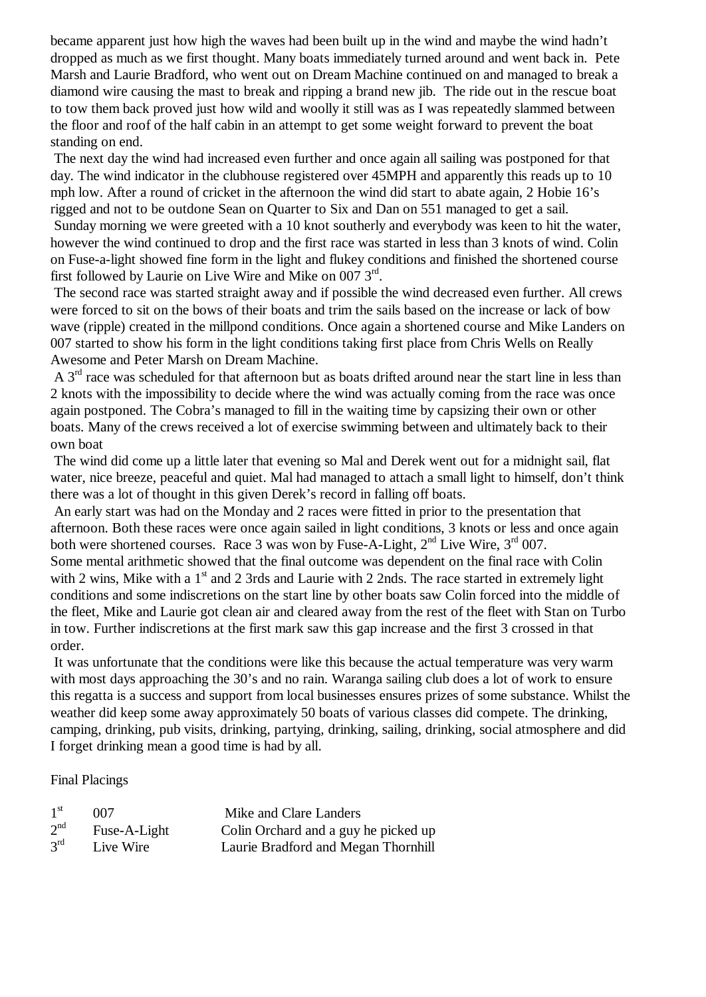became apparent just how high the waves had been built up in the wind and maybe the wind hadn't dropped as much as we first thought. Many boats immediately turned around and went back in. Pete Marsh and Laurie Bradford, who went out on Dream Machine continued on and managed to break a diamond wire causing the mast to break and ripping a brand new jib. The ride out in the rescue boat to tow them back proved just how wild and woolly it still was as I was repeatedly slammed between the floor and roof of the half cabin in an attempt to get some weight forward to prevent the boat standing on end.

 The next day the wind had increased even further and once again all sailing was postponed for that day. The wind indicator in the clubhouse registered over 45MPH and apparently this reads up to 10 mph low. After a round of cricket in the afternoon the wind did start to abate again, 2 Hobie 16's rigged and not to be outdone Sean on Quarter to Six and Dan on 551 managed to get a sail. Sunday morning we were greeted with a 10 knot southerly and everybody was keen to hit the water, however the wind continued to drop and the first race was started in less than 3 knots of wind. Colin on Fuse-a-light showed fine form in the light and flukey conditions and finished the shortened course first followed by Laurie on Live Wire and Mike on 007  $3^{\text{rd}}$ .

 The second race was started straight away and if possible the wind decreased even further. All crews were forced to sit on the bows of their boats and trim the sails based on the increase or lack of bow wave (ripple) created in the millpond conditions. Once again a shortened course and Mike Landers on 007 started to show his form in the light conditions taking first place from Chris Wells on Really Awesome and Peter Marsh on Dream Machine.

A  $3<sup>rd</sup>$  race was scheduled for that afternoon but as boats drifted around near the start line in less than 2 knots with the impossibility to decide where the wind was actually coming from the race was once again postponed. The Cobra's managed to fill in the waiting time by capsizing their own or other boats. Many of the crews received a lot of exercise swimming between and ultimately back to their own boat

 The wind did come up a little later that evening so Mal and Derek went out for a midnight sail, flat water, nice breeze, peaceful and quiet. Mal had managed to attach a small light to himself, don't think there was a lot of thought in this given Derek's record in falling off boats.

An early start was had on the Monday and 2 races were fitted in prior to the presentation that afternoon. Both these races were once again sailed in light conditions, 3 knots or less and once again both were shortened courses. Race 3 was won by Fuse-A-Light,  $2<sup>nd</sup>$  Live Wire,  $3<sup>rd</sup>$  007. Some mental arithmetic showed that the final outcome was dependent on the final race with Colin with 2 wins, Mike with a 1<sup>st</sup> and 2 3rds and Laurie with 2 2nds. The race started in extremely light conditions and some indiscretions on the start line by other boats saw Colin forced into the middle of the fleet, Mike and Laurie got clean air and cleared away from the rest of the fleet with Stan on Turbo in tow. Further indiscretions at the first mark saw this gap increase and the first 3 crossed in that order.

It was unfortunate that the conditions were like this because the actual temperature was very warm with most days approaching the 30's and no rain. Waranga sailing club does a lot of work to ensure this regatta is a success and support from local businesses ensures prizes of some substance. Whilst the weather did keep some away approximately 50 boats of various classes did compete. The drinking, camping, drinking, pub visits, drinking, partying, drinking, sailing, drinking, social atmosphere and did I forget drinking mean a good time is had by all.

#### Final Placings

| 1 <sup>st</sup> | -007         | Mike and Clare Landers               |
|-----------------|--------------|--------------------------------------|
| 2 <sup>nd</sup> | Fuse-A-Light | Colin Orchard and a guy he picked up |
| $3^{\text{rd}}$ | Live Wire    | Laurie Bradford and Megan Thornhill  |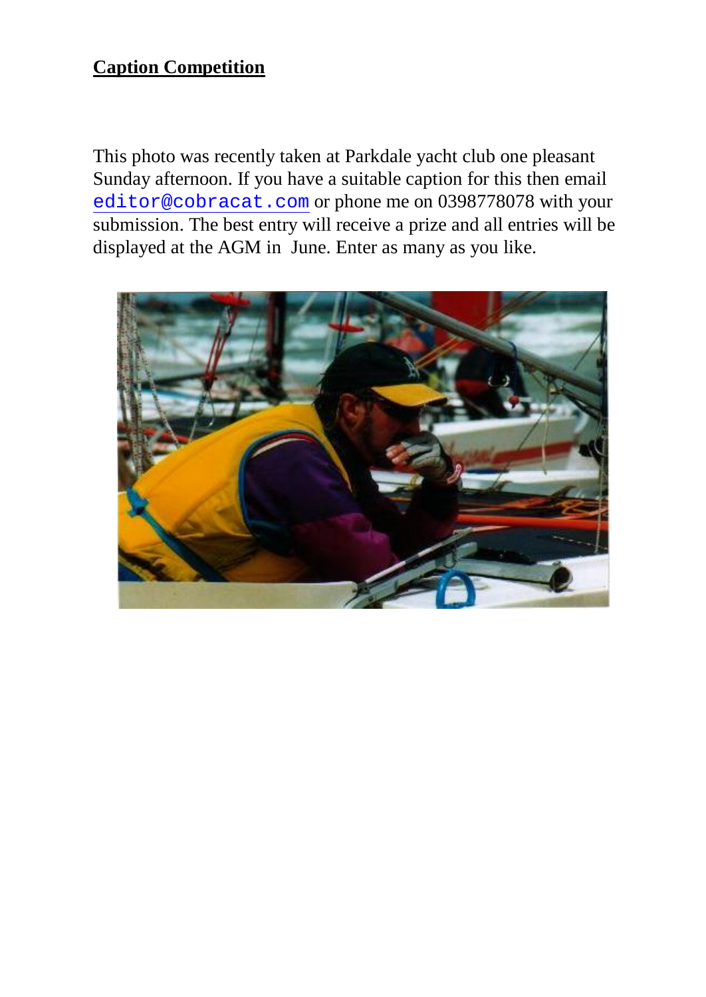### **Caption Competition**

This photo was recently taken at Parkdale yacht club one pleasant Sunday afternoon. If you have a suitable caption for this then email [editor@cobracat.com](mailto:editor@cobracat.com) or phone me on 0398778078 with your submission. The best entry will receive a prize and all entries will be displayed at the AGM in June. Enter as many as you like.

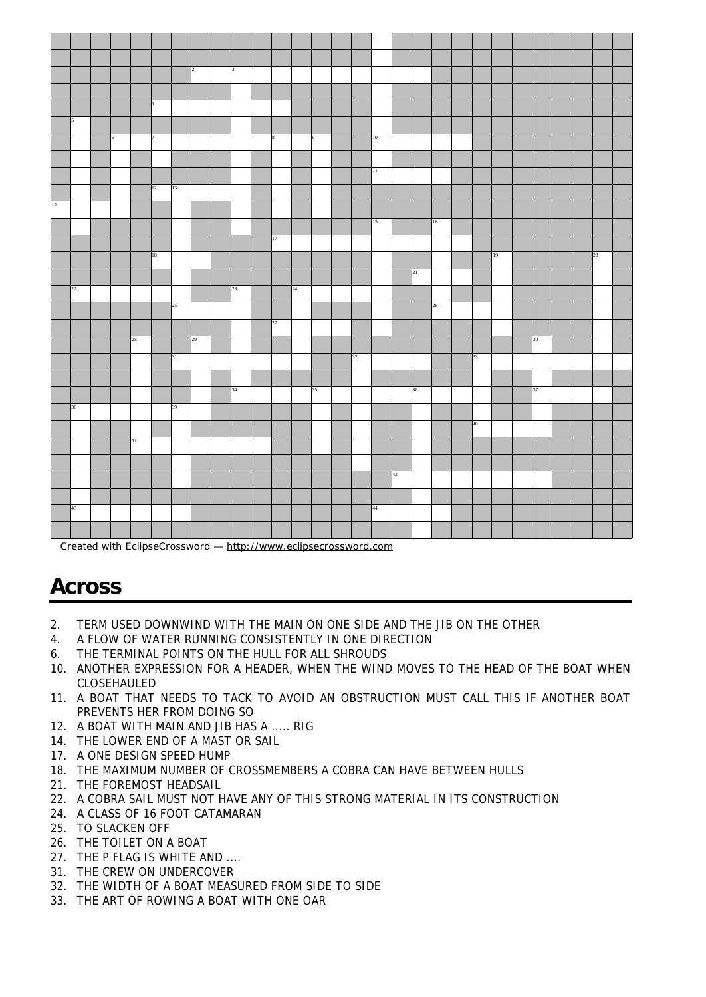

Created with EclipseCrossword —<http://www.eclipsecrossword.com>

# **Across**

- 2. TERM USED DOWNWIND WITH THE MAIN ON ONE SIDE AND THE JIB ON THE OTHER
- 4. A FLOW OF WATER RUNNING CONSISTENTLY IN ONE DIRECTION
- 6. THE TERMINAL POINTS ON THE HULL FOR ALL SHROUDS
- 10. ANOTHER EXPRESSION FOR A HEADER, WHEN THE WIND MOVES TO THE HEAD OF THE BOAT WHEN CLOSEHAULED
- 11. A BOAT THAT NEEDS TO TACK TO AVOID AN OBSTRUCTION MUST CALL THIS IF ANOTHER BOAT PREVENTS HER FROM DOING SO
- 12. A BOAT WITH MAIN AND JIB HAS A ..... RIG
- 14. THE LOWER END OF A MAST OR SAIL
- 17. A ONE DESIGN SPEED HUMP
- 18. THE MAXIMUM NUMBER OF CROSSMEMBERS A COBRA CAN HAVE BETWEEN HULLS
- 21. THE FOREMOST HEADSAIL
- 22. A COBRA SAIL MUST NOT HAVE ANY OF THIS STRONG MATERIAL IN ITS CONSTRUCTION
- 24. A CLASS OF 16 FOOT CATAMARAN
- 25. TO SLACKEN OFF
- 26. THE TOILET ON A BOAT
- 27. THE P FLAG IS WHITE AND ....
- 31. THE CREW ON UNDERCOVER
- 32. THE WIDTH OF A BOAT MEASURED FROM SIDE TO SIDE
- 33. THE ART OF ROWING A BOAT WITH ONE OAR